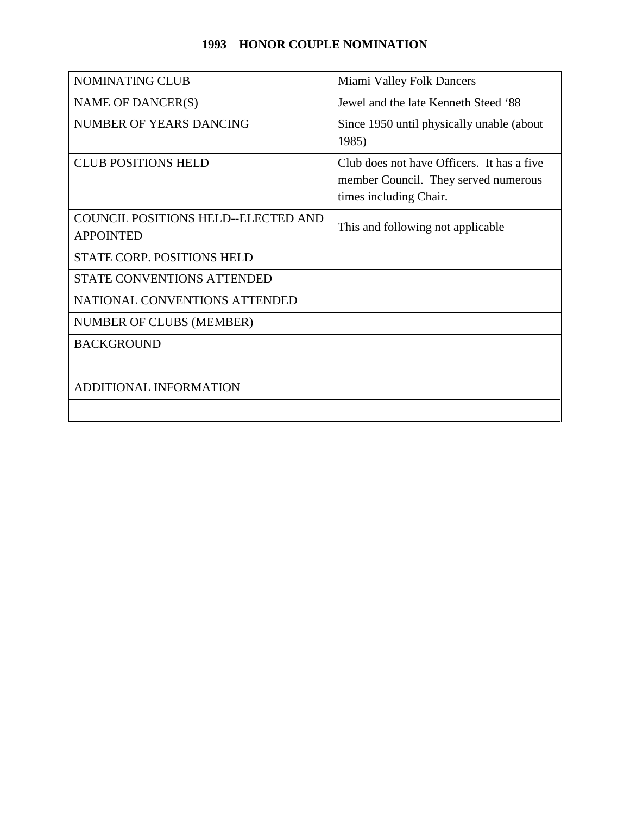## **1993 HONOR COUPLE NOMINATION**

| <b>NOMINATING CLUB</b>                                         | Miami Valley Folk Dancers                                                                                    |
|----------------------------------------------------------------|--------------------------------------------------------------------------------------------------------------|
| NAME OF DANCER(S)                                              | Jewel and the late Kenneth Steed '88                                                                         |
| NUMBER OF YEARS DANCING                                        | Since 1950 until physically unable (about<br>1985)                                                           |
| <b>CLUB POSITIONS HELD</b>                                     | Club does not have Officers. It has a five<br>member Council. They served numerous<br>times including Chair. |
| <b>COUNCIL POSITIONS HELD--ELECTED AND</b><br><b>APPOINTED</b> | This and following not applicable                                                                            |
| <b>STATE CORP. POSITIONS HELD</b>                              |                                                                                                              |
| STATE CONVENTIONS ATTENDED                                     |                                                                                                              |
| NATIONAL CONVENTIONS ATTENDED                                  |                                                                                                              |
| NUMBER OF CLUBS (MEMBER)                                       |                                                                                                              |
| <b>BACKGROUND</b>                                              |                                                                                                              |
|                                                                |                                                                                                              |
| <b>ADDITIONAL INFORMATION</b>                                  |                                                                                                              |
|                                                                |                                                                                                              |